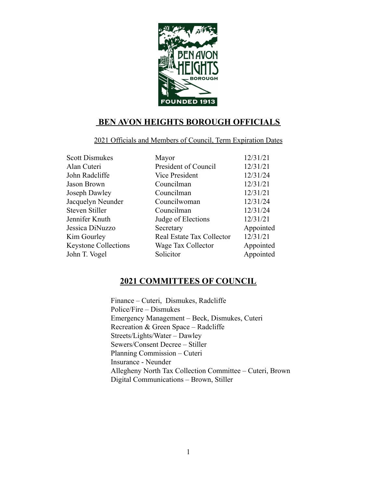

## **BEN AVON HEIGHTS BOROUGH OFFICIALS**

#### 2021 Officials and Members of Council, Term Expiration Dates

| <b>Scott Dismukes</b>       | Mayor                     | 12/31/21  |
|-----------------------------|---------------------------|-----------|
| Alan Cuteri                 | President of Council      | 12/31/21  |
| John Radcliffe              | Vice President            | 12/31/24  |
| Jason Brown                 | Councilman                | 12/31/21  |
| Joseph Dawley               | Councilman                | 12/31/21  |
| Jacquelyn Neunder           | Councilwoman              | 12/31/24  |
| Steven Stiller              | Councilman                | 12/31/24  |
| Jennifer Knuth              | Judge of Elections        | 12/31/21  |
| Jessica DiNuzzo             | Secretary                 | Appointed |
| Kim Gourley                 | Real Estate Tax Collector | 12/31/21  |
| <b>Keystone Collections</b> | Wage Tax Collector        | Appointed |
| John T. Vogel               | Solicitor                 | Appointed |
|                             |                           |           |

## **2021 COMMITTEES OF COUNCIL**

Finance – Cuteri, Dismukes, Radcliffe Police/Fire – Dismukes Emergency Management – Beck, Dismukes, Cuteri Recreation & Green Space – Radcliffe Streets/Lights/Water – Dawley Sewers/Consent Decree – Stiller Planning Commission – Cuteri Insurance - Neunder Allegheny North Tax Collection Committee – Cuteri, Brown Digital Communications – Brown, Stiller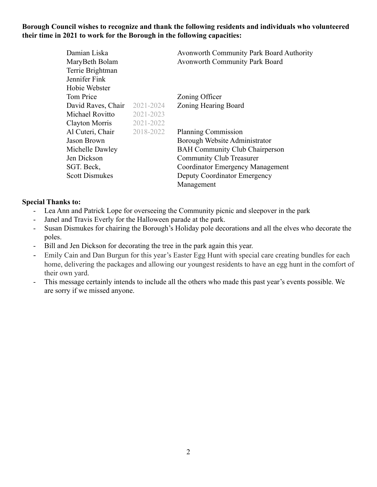#### **Borough Council wishes to recognize and thank the following residents and individuals who volunteered their time in 2021 to work for the Borough in the following capacities:**

| Damian Liska          |           | <b>Avonworth Community Park Board Authority</b> |
|-----------------------|-----------|-------------------------------------------------|
| MaryBeth Bolam        |           | Avonworth Community Park Board                  |
| Terrie Brightman      |           |                                                 |
| Jennifer Fink         |           |                                                 |
| Hobie Webster         |           |                                                 |
| Tom Price             |           | Zoning Officer                                  |
| David Raves, Chair    | 2021-2024 | Zoning Hearing Board                            |
| Michael Rovitto       | 2021-2023 |                                                 |
| Clayton Morris        | 2021-2022 |                                                 |
| Al Cuteri, Chair      | 2018-2022 | <b>Planning Commission</b>                      |
| Jason Brown           |           | Borough Website Administrator                   |
| Michelle Dawley       |           | <b>BAH Community Club Chairperson</b>           |
| Jen Dickson           |           | <b>Community Club Treasurer</b>                 |
| SGT. Beck,            |           | <b>Coordinator Emergency Management</b>         |
| <b>Scott Dismukes</b> |           | Deputy Coordinator Emergency                    |
|                       |           | Management                                      |

#### **Special Thanks to:**

- Lea Ann and Patrick Lope for overseeing the Community picnic and sleepover in the park
- Janel and Travis Everly for the Halloween parade at the park.
- Susan Dismukes for chairing the Borough's Holiday pole decorations and all the elves who decorate the poles.
- Bill and Jen Dickson for decorating the tree in the park again this year.
- Emily Cain and Dan Burgun for this year's Easter Egg Hunt with special care creating bundles for each home, delivering the packages and allowing our youngest residents to have an egg hunt in the comfort of their own yard.
- This message certainly intends to include all the others who made this past year's events possible. We are sorry if we missed anyone.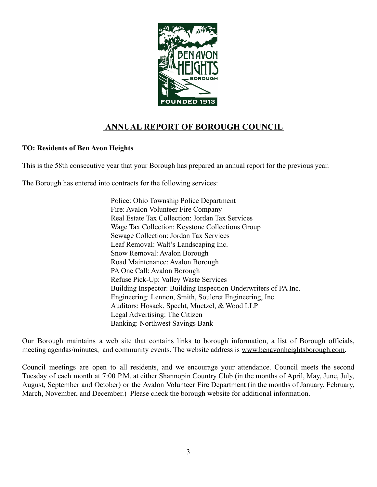

# **ANNUAL REPORT OF BOROUGH COUNCIL**

#### **TO: Residents of Ben Avon Heights**

This is the 58th consecutive year that your Borough has prepared an annual report for the previous year.

The Borough has entered into contracts for the following services:

Police: Ohio Township Police Department Fire: Avalon Volunteer Fire Company Real Estate Tax Collection: Jordan Tax Services Wage Tax Collection: Keystone Collections Group Sewage Collection: Jordan Tax Services Leaf Removal: Walt's Landscaping Inc. Snow Removal: Avalon Borough Road Maintenance: Avalon Borough PA One Call: Avalon Borough Refuse Pick-Up: Valley Waste Services Building Inspector: Building Inspection Underwriters of PA Inc. Engineering: Lennon, Smith, Souleret Engineering, Inc. Auditors: Hosack, Specht, Muetzel, & Wood LLP Legal Advertising: The Citizen Banking: Northwest Savings Bank

Our Borough maintains a web site that contains links to borough information, a list of Borough officials, meeting agendas/minutes, and community events. The website address is [www.benavonheightsborough.com.](http://www.benavonheightsborough.com)

Council meetings are open to all residents, and we encourage your attendance. Council meets the second Tuesday of each month at 7:00 P.M. at either Shannopin Country Club (in the months of April, May, June, July, August, September and October) or the Avalon Volunteer Fire Department (in the months of January, February, March, November, and December.) Please check the borough website for additional information.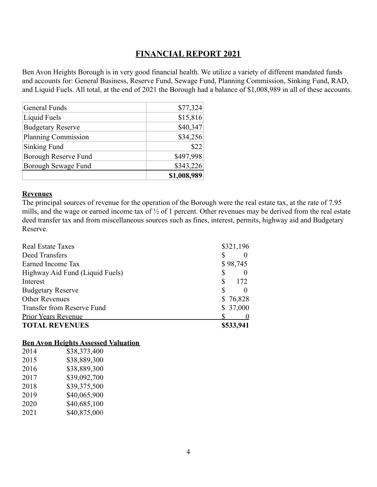### **FINANCIAL REPORT 2021**

Ben Avon Heights Borough is in very good financial health. We utilize a variety of different mandated funds and accounts for: General Business, Reserve Fund, Sewage Fund, Planning Commission, Sinking Fund, RAD, and Liquid Fuels. All total, at the end of 2021 the Borough had a balance of \$1,008,989 in all of these accounts.

|                          | \$1,008,989 |
|--------------------------|-------------|
| Borough Sewage Fund      | \$343,226   |
| Borough Reserve Fund     | \$497,998   |
| Sinking Fund             | \$22        |
| Planning Commission      | \$34,256    |
| <b>Budgetary Reserve</b> | \$40,347    |
| Liquid Fuels             | \$15,816    |
| <b>General Funds</b>     | \$77,324    |
|                          |             |

#### **Revenues**

The principal sources of revenue for the operation of the Borough were the real estate tax, at the rate of 7.95 mills, and the wage or earned income tax of ½ of 1 percent. Other revenues may be derived from the real estate deed transfer tax and from miscellaneous sources such as fines, interest, permits, highway aid and Budgetary Reserve.

| <b>Real Estate Taxes</b>        | \$321,196 |
|---------------------------------|-----------|
| Deed Transfers                  |           |
| Earned Income Tax               | \$98,745  |
| Highway Aid Fund (Liquid Fuels) |           |
| Interest                        | 172<br>S  |
| <b>Budgetary Reserve</b>        |           |
| <b>Other Revenues</b>           | \$76,828  |
| Transfer from Reserve Fund      | \$37,000  |
| <b>Prior Years Revenue</b>      |           |
| <b>TOTAL REVENUES</b>           | \$533,941 |

#### **Ben Avon Heights Assessed Valuation**

| 2014 | \$38,373,400 |
|------|--------------|
| 2015 | \$38,889,300 |
| 2016 | \$38,889,300 |
| 2017 | \$39,092,700 |
| 2018 | \$39,375,500 |
| 2019 | \$40,065,900 |
| 2020 | \$40,685,100 |
| 2021 | \$40,875,000 |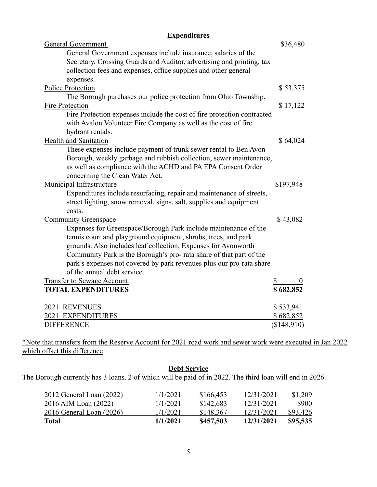### **Expenditures**

| <b>General Government</b>                                               | \$36,480    |
|-------------------------------------------------------------------------|-------------|
| General Government expenses include insurance, salaries of the          |             |
| Secretary, Crossing Guards and Auditor, advertising and printing, tax   |             |
| collection fees and expenses, office supplies and other general         |             |
| expenses.                                                               |             |
| <b>Police Protection</b>                                                | \$53,375    |
| The Borough purchases our police protection from Ohio Township.         |             |
| Fire Protection                                                         | \$17,122    |
| Fire Protection expenses include the cost of fire protection contracted |             |
| with Avalon Volunteer Fire Company as well as the cost of fire          |             |
| hydrant rentals.                                                        |             |
| <b>Health and Sanitation</b>                                            | \$64,024    |
| These expenses include payment of trunk sewer rental to Ben Avon        |             |
| Borough, weekly garbage and rubbish collection, sewer maintenance,      |             |
| as well as compliance with the ACHD and PA EPA Consent Order            |             |
| concerning the Clean Water Act.                                         |             |
| <b>Municipal Infrastructure</b>                                         | \$197,948   |
| Expenditures include resurfacing, repair and maintenance of streets,    |             |
| street lighting, snow removal, signs, salt, supplies and equipment      |             |
| costs.                                                                  |             |
| <b>Community Greenspace</b>                                             | \$43,082    |
| Expenses for Greenspace/Borough Park include maintenance of the         |             |
| tennis court and playground equipment, shrubs, trees, and park          |             |
| grounds. Also includes leaf collection. Expenses for Avonworth          |             |
| Community Park is the Borough's pro- rata share of that part of the     |             |
| park's expenses not covered by park revenues plus our pro-rata share    |             |
| of the annual debt service.                                             |             |
| <b>Transfer to Sewage Account</b>                                       |             |
| <b>TOTAL EXPENDITURES</b>                                               | \$682,852   |
| 2021 REVENUES                                                           | \$533,941   |
| 2021 EXPENDITURES                                                       | \$682,852   |
| <b>DIFFERENCE</b>                                                       | (\$148,910) |
|                                                                         |             |

\*Note that transfers from the Reserve Account for 2021 road work and sewer work were executed in Jan 2022 which offset this difference

#### **Debt Service**

The Borough currently has 3 loans. 2 of which will be paid of in 2022. The third loan will end in 2026.

| Total                           | 1/1/2021 | \$457,503 | 12/31/2021 | \$95,535 |
|---------------------------------|----------|-----------|------------|----------|
| <u>2016 General Loan (2026)</u> | 1/1/2021 | \$148.367 | 12/31/2021 | \$93,426 |
| 2016 AIM Loan (2022)            | 1/1/2021 | \$142,683 | 12/31/2021 | \$900    |
| 2012 General Loan (2022)        | 1/1/2021 | \$166,453 | 12/31/2021 | \$1,209  |
|                                 |          |           |            |          |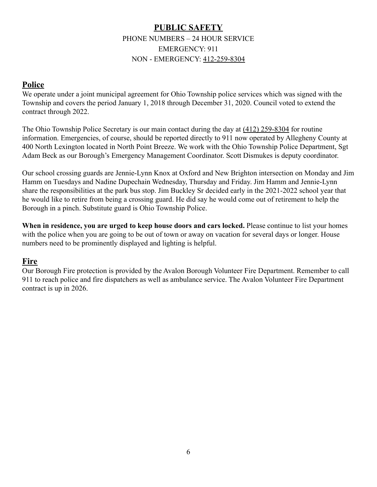## **PUBLIC SAFETY** PHONE NUMBERS – 24 HOUR SERVICE EMERGENCY: 911 NON - EMERGENCY: [412-259-8304](tel:412-473-3056)

### **Police**

We operate under a joint municipal agreement for Ohio Township police services which was signed with the Township and covers the period January 1, 2018 through December 31, 2020. Council voted to extend the contract through 2022.

The Ohio Township Police Secretary is our main contact during the day at (412) 259-8304 for routine information. Emergencies, of course, should be reported directly to 911 now operated by Allegheny County at 400 North Lexington located in North Point Breeze. We work with the Ohio Township Police Department, Sgt Adam Beck as our Borough's Emergency Management Coordinator. Scott Dismukes is deputy coordinator.

Our school crossing guards are Jennie-Lynn Knox at Oxford and New Brighton intersection on Monday and Jim Hamm on Tuesdays and Nadine Dupechain Wednesday, Thursday and Friday. Jim Hamm and Jennie-Lynn share the responsibilities at the park bus stop. Jim Buckley Sr decided early in the 2021-2022 school year that he would like to retire from being a crossing guard. He did say he would come out of retirement to help the Borough in a pinch. Substitute guard is Ohio Township Police.

**When in residence, you are urged to keep house doors and cars locked.** Please continue to list your homes with the police when you are going to be out of town or away on vacation for several days or longer. House numbers need to be prominently displayed and lighting is helpful.

## **Fire**

Our Borough Fire protection is provided by the Avalon Borough Volunteer Fire Department. Remember to call 911 to reach police and fire dispatchers as well as ambulance service. The Avalon Volunteer Fire Department contract is up in 2026.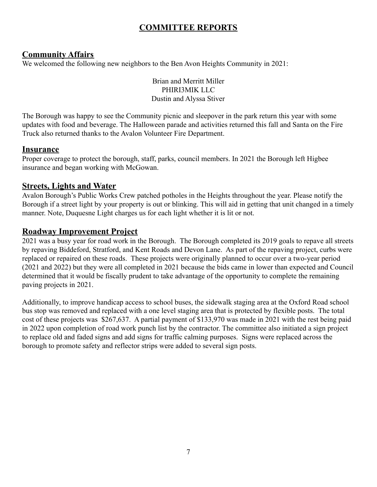# **COMMITTEE REPORTS**

### **Community Affairs**

We welcomed the following new neighbors to the Ben Avon Heights Community in 2021:

Brian and Merritt Miller PHIRI3MIK LLC Dustin and Alyssa Stiver

The Borough was happy to see the Community picnic and sleepover in the park return this year with some updates with food and beverage. The Halloween parade and activities returned this fall and Santa on the Fire Truck also returned thanks to the Avalon Volunteer Fire Department.

### **Insurance**

Proper coverage to protect the borough, staff, parks, council members. In 2021 the Borough left Higbee insurance and began working with McGowan.

### **Streets, Lights and Water**

Avalon Borough's Public Works Crew patched potholes in the Heights throughout the year. Please notify the Borough if a street light by your property is out or blinking. This will aid in getting that unit changed in a timely manner. Note, Duquesne Light charges us for each light whether it is lit or not.

### **Roadway Improvement Project**

2021 was a busy year for road work in the Borough. The Borough completed its 2019 goals to repave all streets by repaving Biddeford, Stratford, and Kent Roads and Devon Lane. As part of the repaving project, curbs were replaced or repaired on these roads. These projects were originally planned to occur over a two-year period (2021 and 2022) but they were all completed in 2021 because the bids came in lower than expected and Council determined that it would be fiscally prudent to take advantage of the opportunity to complete the remaining paving projects in 2021.

Additionally, to improve handicap access to school buses, the sidewalk staging area at the Oxford Road school bus stop was removed and replaced with a one level staging area that is protected by flexible posts. The total cost of these projects was \$267,637. A partial payment of \$133,970 was made in 2021 with the rest being paid in 2022 upon completion of road work punch list by the contractor. The committee also initiated a sign project to replace old and faded signs and add signs for traffic calming purposes. Signs were replaced across the borough to promote safety and reflector strips were added to several sign posts.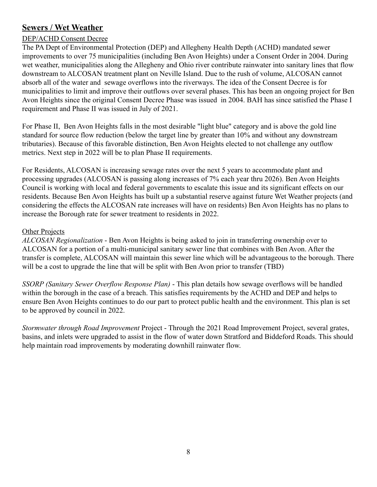## **Sewers / Wet Weather**

#### DEP/ACHD Consent Decree

The PA Dept of Environmental Protection (DEP) and Allegheny Health Depth (ACHD) mandated sewer improvements to over 75 municipalities (including Ben Avon Heights) under a Consent Order in 2004. During wet weather, municipalities along the Allegheny and Ohio river contribute rainwater into sanitary lines that flow downstream to ALCOSAN treatment plant on Neville Island. Due to the rush of volume, ALCOSAN cannot absorb all of the water and sewage overflows into the riverways. The idea of the Consent Decree is for municipalities to limit and improve their outflows over several phases. This has been an ongoing project for Ben Avon Heights since the original Consent Decree Phase was issued in 2004. BAH has since satisfied the Phase I requirement and Phase II was issued in July of 2021.

For Phase II, Ben Avon Heights falls in the most desirable "light blue" category and is above the gold line standard for source flow reduction (below the target line by greater than 10% and without any downstream tributaries). Because of this favorable distinction, Ben Avon Heights elected to not challenge any outflow metrics. Next step in 2022 will be to plan Phase II requirements.

For Residents, ALCOSAN is increasing sewage rates over the next 5 years to accommodate plant and processing upgrades (ALCOSAN is passing along increases of 7% each year thru 2026). Ben Avon Heights Council is working with local and federal governments to escalate this issue and its significant effects on our residents. Because Ben Avon Heights has built up a substantial reserve against future Wet Weather projects (and considering the effects the ALCOSAN rate increases will have on residents) Ben Avon Heights has no plans to increase the Borough rate for sewer treatment to residents in 2022.

#### Other Projects

*ALCOSAN Regionalization* - Ben Avon Heights is being asked to join in transferring ownership over to ALCOSAN for a portion of a multi-municipal sanitary sewer line that combines with Ben Avon. After the transfer is complete, ALCOSAN will maintain this sewer line which will be advantageous to the borough. There will be a cost to upgrade the line that will be split with Ben Avon prior to transfer (TBD)

*SSORP (Sanitary Sewer Overflow Response Plan)* - This plan details how sewage overflows will be handled within the borough in the case of a breach. This satisfies requirements by the ACHD and DEP and helps to ensure Ben Avon Heights continues to do our part to protect public health and the environment. This plan is set to be approved by council in 2022.

*Stormwater through Road Improvement* Project - Through the 2021 Road Improvement Project, several grates, basins, and inlets were upgraded to assist in the flow of water down Stratford and Biddeford Roads. This should help maintain road improvements by moderating downhill rainwater flow.